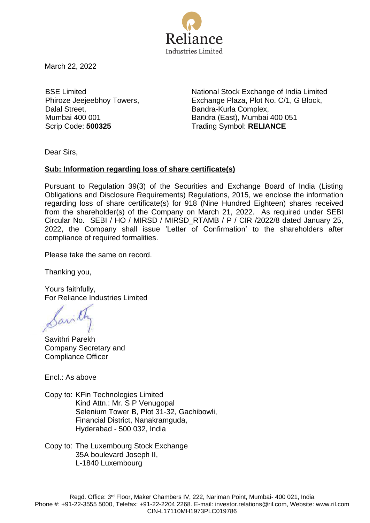

March 22, 2022

BSE Limited Phiroze Jeejeebhoy Towers, Dalal Street, Mumbai 400 001

National Stock Exchange of India Limited Exchange Plaza, Plot No. C/1, G Block, Bandra-Kurla Complex, Bandra (East), Mumbai 400 051 Scrip Code: **500325** Trading Symbol: **RELIANCE** 

Dear Sirs,

## **Sub: Information regarding loss of share certificate(s)**

Pursuant to Regulation 39(3) of the Securities and Exchange Board of India (Listing Obligations and Disclosure Requirements) Regulations, 2015, we enclose the information regarding loss of share certificate(s) for 918 (Nine Hundred Eighteen) shares received from the shareholder(s) of the Company on March 21, 2022. As required under SEBI Circular No. SEBI / HO / MIRSD / MIRSD\_RTAMB / P / CIR /2022/8 dated January 25, 2022, the Company shall issue 'Letter of Confirmation' to the shareholders after compliance of required formalities.

Please take the same on record.

Thanking you,

Yours faithfully, For Reliance Industries Limited

Savithri Parekh Company Secretary and Compliance Officer

Encl.: As above

Copy to: KFin Technologies Limited Kind Attn.: Mr. S P Venugopal Selenium Tower B, Plot 31-32, Gachibowli, Financial District, Nanakramguda, Hyderabad - 500 032, India

Copy to: The Luxembourg Stock Exchange 35A boulevard Joseph II, L-1840 Luxembourg